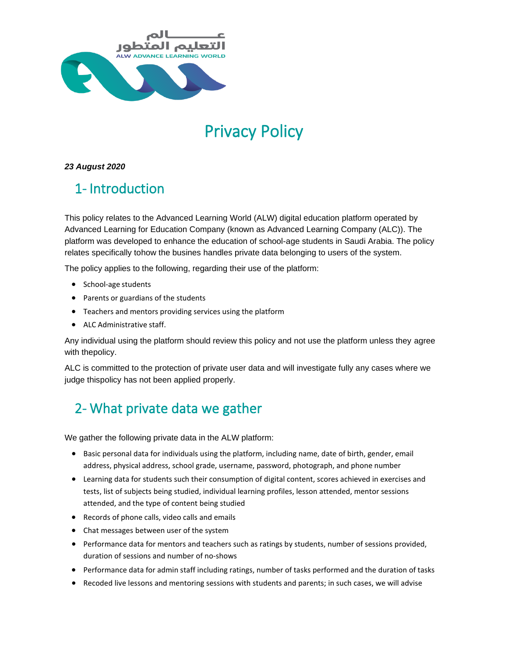

# Privacy Policy

#### *23 August 2020*

# 1- Introduction

This policy relates to the Advanced Learning World (ALW) digital education platform operated by Advanced Learning for Education Company (known as Advanced Learning Company (ALC)). The platform was developed to enhance the education of school-age students in Saudi Arabia. The policy relates specifically tohow the busines handles private data belonging to users of the system.

The policy applies to the following, regarding their use of the platform:

- School-age students
- Parents or guardians of the students
- Teachers and mentors providing services using the platform
- ALC Administrative staff.

Any individual using the platform should review this policy and not use the platform unless they agree with thepolicy.

ALC is committed to the protection of private user data and will investigate fully any cases where we judge thispolicy has not been applied properly.

# 2- What private data we gather

We gather the following private data in the ALW platform:

- Basic personal data for individuals using the platform, including name, date of birth, gender, email address, physical address, school grade, username, password, photograph, and phone number
- Learning data for students such their consumption of digital content, scores achieved in exercises and tests, list of subjects being studied, individual learning profiles, lesson attended, mentor sessions attended, and the type of content being studied
- Records of phone calls, video calls and emails
- Chat messages between user of the system
- Performance data for mentors and teachers such as ratings by students, number of sessions provided, duration of sessions and number of no-shows
- Performance data for admin staff including ratings, number of tasks performed and the duration of tasks
- Recoded live lessons and mentoring sessions with students and parents; in such cases, we will advise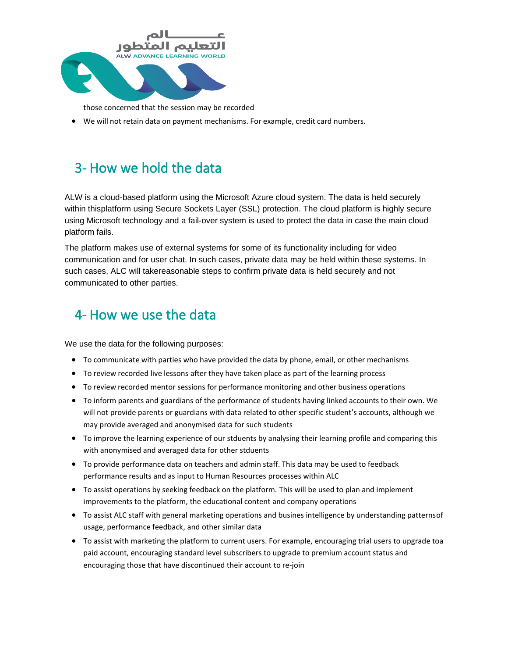

those concerned that the session may be recorded

• We will not retain data on payment mechanisms. For example, credit card numbers.

### 3- How we hold the data

ALW is a cloud-based platform using the Microsoft Azure cloud system. The data is held securely within thisplatform using Secure Sockets Layer (SSL) protection. The cloud platform is highly secure using Microsoft technology and a fail-over system is used to protect the data in case the main cloud platform fails.

The platform makes use of external systems for some of its functionality including for video communication and for user chat. In such cases, private data may be held within these systems. In such cases, ALC will takereasonable steps to confirm private data is held securely and not communicated to other parties.

#### 4- How we use the data

We use the data for the following purposes:

- To communicate with parties who have provided the data by phone, email, or other mechanisms
- To review recorded live lessons after they have taken place as part of the learning process
- To review recorded mentor sessions for performance monitoring and other business operations
- To inform parents and guardians of the performance of students having linked accounts to their own. We will not provide parents or guardians with data related to other specific student's accounts, although we may provide averaged and anonymised data for such students
- To improve the learning experience of our stduents by analysing their learning profile and comparing this with anonymised and averaged data for other stduents
- To provide performance data on teachers and admin staff. This data may be used to feedback performance results and as input to Human Resources processes within ALC
- To assist operations by seeking feedback on the platform. This will be used to plan and implement improvements to the platform, the educational content and company operations
- To assist ALC staff with general marketing operations and busines intelligence by understanding patternsof usage, performance feedback, and other similar data
- To assist with marketing the platform to current users. For example, encouraging trial users to upgrade toa paid account, encouraging standard level subscribers to upgrade to premium account status and encouraging those that have discontinued their account to re-join